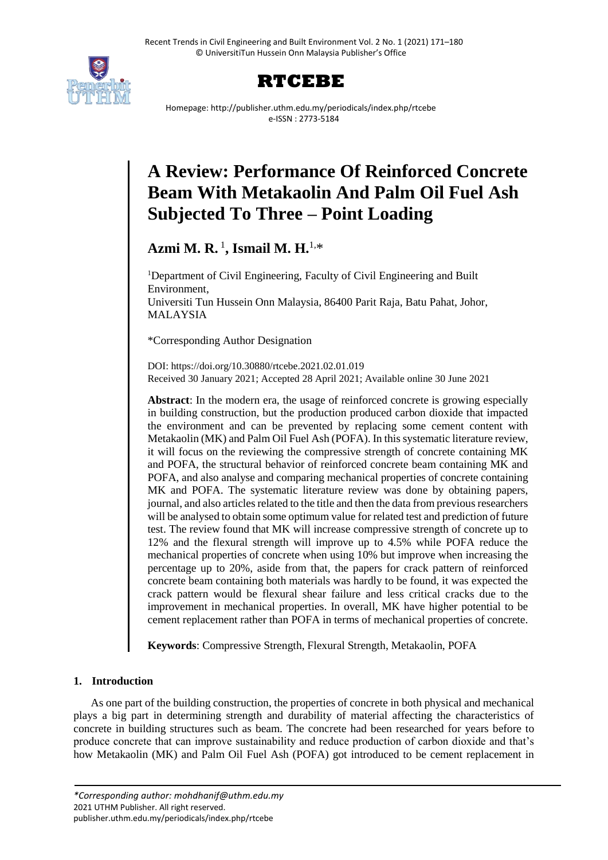



Homepage: http://publisher.uthm.edu.my/periodicals/index.php/rtcebe e-ISSN : 2773-5184

# **A Review: Performance Of Reinforced Concrete Beam With Metakaolin And Palm Oil Fuel Ash Subjected To Three – Point Loading**

**Azmi M. R.** <sup>1</sup> **, Ismail M. H.**1,\*

<sup>1</sup>Department of Civil Engineering, Faculty of Civil Engineering and Built Environment, Universiti Tun Hussein Onn Malaysia, 86400 Parit Raja, Batu Pahat, Johor, MALAYSIA

\*Corresponding Author Designation

DOI: https://doi.org/10.30880/rtcebe.2021.02.01.019 Received 30 January 2021; Accepted 28 April 2021; Available online 30 June 2021

**Abstract**: In the modern era, the usage of reinforced concrete is growing especially in building construction, but the production produced carbon dioxide that impacted the environment and can be prevented by replacing some cement content with Metakaolin (MK) and Palm Oil Fuel Ash (POFA). In this systematic literature review, it will focus on the reviewing the compressive strength of concrete containing MK and POFA, the structural behavior of reinforced concrete beam containing MK and POFA, and also analyse and comparing mechanical properties of concrete containing MK and POFA. The systematic literature review was done by obtaining papers, journal, and also articles related to the title and then the data from previous researchers will be analysed to obtain some optimum value for related test and prediction of future test. The review found that MK will increase compressive strength of concrete up to 12% and the flexural strength will improve up to 4.5% while POFA reduce the mechanical properties of concrete when using 10% but improve when increasing the percentage up to 20%, aside from that, the papers for crack pattern of reinforced concrete beam containing both materials was hardly to be found, it was expected the crack pattern would be flexural shear failure and less critical cracks due to the improvement in mechanical properties. In overall, MK have higher potential to be cement replacement rather than POFA in terms of mechanical properties of concrete.

**Keywords**: Compressive Strength, Flexural Strength, Metakaolin, POFA

# **1. Introduction**

As one part of the building construction, the properties of concrete in both physical and mechanical plays a big part in determining strength and durability of material affecting the characteristics of concrete in building structures such as beam. The concrete had been researched for years before to produce concrete that can improve sustainability and reduce production of carbon dioxide and that's how Metakaolin (MK) and Palm Oil Fuel Ash (POFA) got introduced to be cement replacement in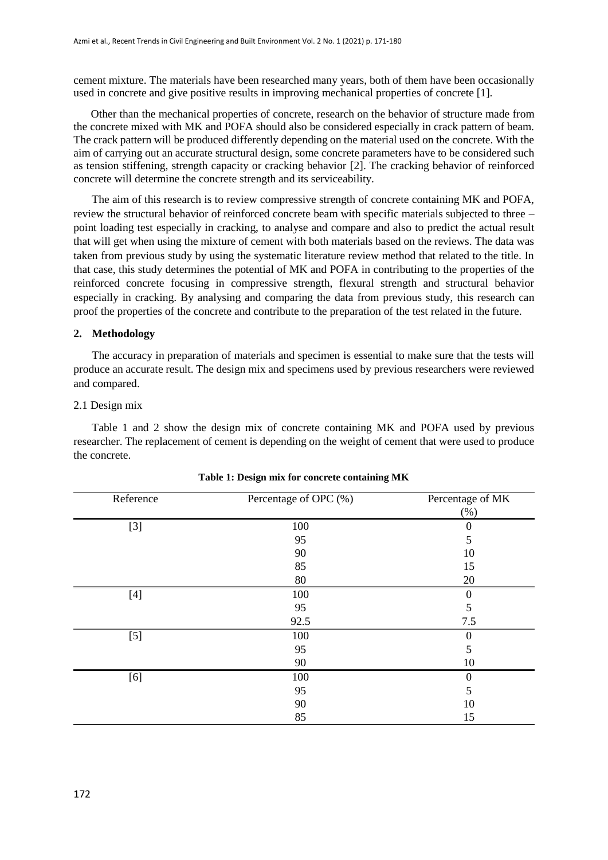cement mixture. The materials have been researched many years, both of them have been occasionally used in concrete and give positive results in improving mechanical properties of concrete [1].

Other than the mechanical properties of concrete, research on the behavior of structure made from the concrete mixed with MK and POFA should also be considered especially in crack pattern of beam. The crack pattern will be produced differently depending on the material used on the concrete. With the aim of carrying out an accurate structural design, some concrete parameters have to be considered such as tension stiffening, strength capacity or cracking behavior [2]. The cracking behavior of reinforced concrete will determine the concrete strength and its serviceability.

The aim of this research is to review compressive strength of concrete containing MK and POFA, review the structural behavior of reinforced concrete beam with specific materials subjected to three – point loading test especially in cracking, to analyse and compare and also to predict the actual result that will get when using the mixture of cement with both materials based on the reviews. The data was taken from previous study by using the systematic literature review method that related to the title. In that case, this study determines the potential of MK and POFA in contributing to the properties of the reinforced concrete focusing in compressive strength, flexural strength and structural behavior especially in cracking. By analysing and comparing the data from previous study, this research can proof the properties of the concrete and contribute to the preparation of the test related in the future.

#### **2. Methodology**

The accuracy in preparation of materials and specimen is essential to make sure that the tests will produce an accurate result. The design mix and specimens used by previous researchers were reviewed and compared.

#### 2.1 Design mix

Table 1 and 2 show the design mix of concrete containing MK and POFA used by previous researcher. The replacement of cement is depending on the weight of cement that were used to produce the concrete.

| Reference | Percentage of OPC (%) | Percentage of MK |
|-----------|-----------------------|------------------|
|           |                       | $(\%)$           |
| $[3]$     | 100                   | 0                |
|           | 95                    | 5                |
|           | 90                    | 10               |
|           | 85                    | 15               |
|           | 80                    | 20               |
| $[4]$     | 100                   | $\theta$         |
|           | 95                    | 5                |
|           | 92.5                  | 7.5              |
| $[5]$     | 100                   | 0                |
|           | 95                    | 5                |
|           | 90                    | 10               |
| [6]       | 100                   | 0                |
|           | 95                    | 5                |
|           | 90                    | 10               |
|           | 85                    | 15               |

| Table 1: Design mix for concrete containing MK |  |  |  |  |
|------------------------------------------------|--|--|--|--|
|------------------------------------------------|--|--|--|--|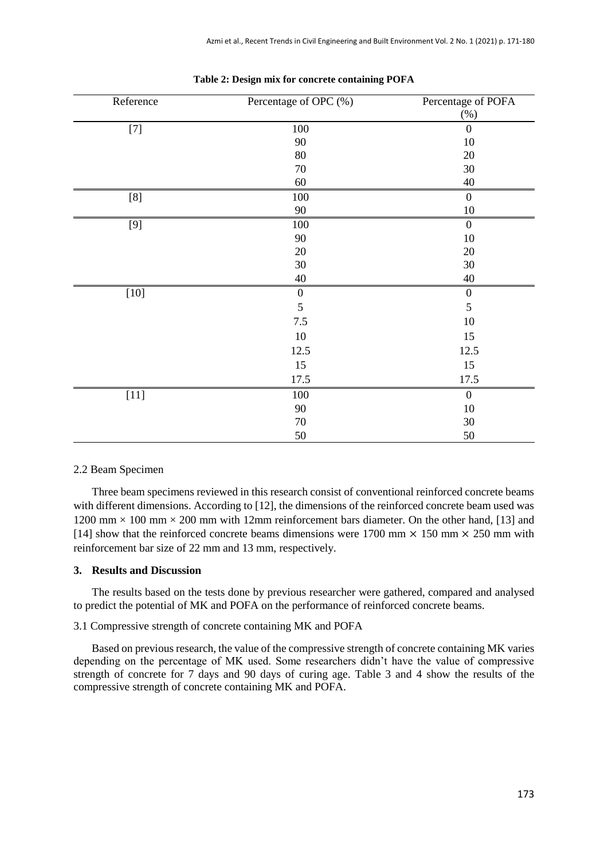| Reference | Percentage of OPC (%) | Percentage of POFA |
|-----------|-----------------------|--------------------|
|           |                       | (%)                |
| $[7]$     | $100\,$               | $\boldsymbol{0}$   |
|           | $90\,$                | $10\,$             |
|           | $80\,$                | 20                 |
|           | $70\,$                | 30                 |
|           | $60\,$                | 40                 |
| $[8]$     | 100                   | $\boldsymbol{0}$   |
|           | 90                    | $10\,$             |
| [9]       | 100                   | $\boldsymbol{0}$   |
|           | 90                    | $10\,$             |
|           | 20                    | 20                 |
|           | $30\,$                | $30\,$             |
|           | $40\,$                | $40\,$             |
| $[10]$    | $\boldsymbol{0}$      | $\boldsymbol{0}$   |
|           | 5                     | 5                  |
|           | 7.5                   | 10                 |
|           | $10\,$                | 15                 |
|           | 12.5                  | 12.5               |
|           | 15                    | 15                 |
|           | 17.5                  | 17.5               |
| $[11]$    | 100                   | $\boldsymbol{0}$   |
|           | 90                    | $10\,$             |
|           | 70                    | 30                 |
|           | 50                    | 50                 |

#### **Table 2: Design mix for concrete containing POFA**

#### 2.2 Beam Specimen

Three beam specimens reviewed in this research consist of conventional reinforced concrete beams with different dimensions. According to [12], the dimensions of the reinforced concrete beam used was 1200 mm  $\times$  100 mm  $\times$  200 mm with 12mm reinforcement bars diameter. On the other hand, [13] and [14] show that the reinforced concrete beams dimensions were 1700 mm  $\times$  150 mm  $\times$  250 mm with reinforcement bar size of 22 mm and 13 mm, respectively.

#### **3. Results and Discussion**

The results based on the tests done by previous researcher were gathered, compared and analysed to predict the potential of MK and POFA on the performance of reinforced concrete beams.

## 3.1 Compressive strength of concrete containing MK and POFA

Based on previous research, the value of the compressive strength of concrete containing MK varies depending on the percentage of MK used. Some researchers didn't have the value of compressive strength of concrete for 7 days and 90 days of curing age. Table 3 and 4 show the results of the compressive strength of concrete containing MK and POFA.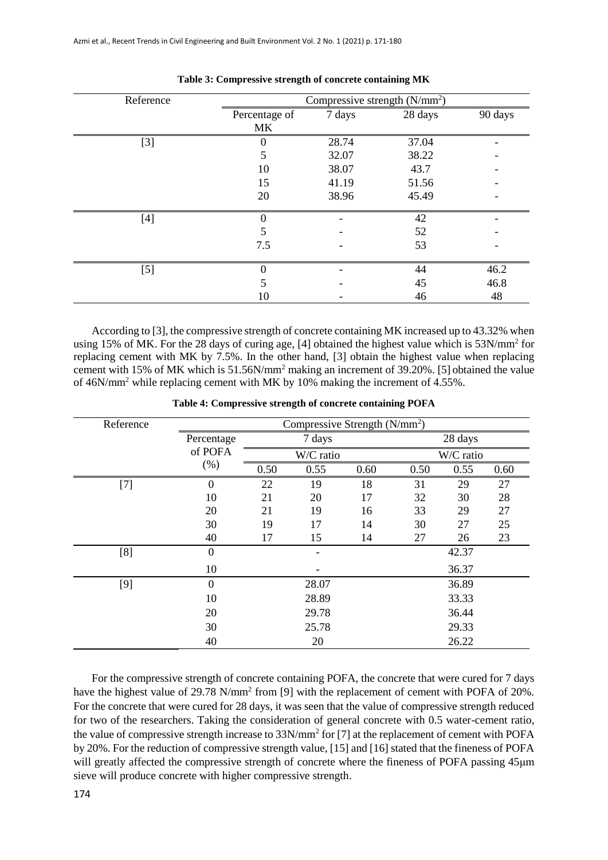| Reference                                                                                  |                     | Compressive strength (N/mm <sup>2</sup> ) |         |         |
|--------------------------------------------------------------------------------------------|---------------------|-------------------------------------------|---------|---------|
|                                                                                            | Percentage of<br>MK | 7 days                                    | 28 days | 90 days |
| $[3]$                                                                                      |                     | 28.74                                     | 37.04   |         |
|                                                                                            | 5                   | 32.07                                     | 38.22   |         |
|                                                                                            | 10                  | 38.07                                     | 43.7    |         |
|                                                                                            | 15                  | 41.19                                     | 51.56   |         |
|                                                                                            | 20                  | 38.96                                     | 45.49   |         |
| $[4] % \includegraphics[width=0.9\columnwidth]{figures/fig_4} \caption{A=}\label{fig:2} %$ |                     |                                           | 42      |         |
|                                                                                            |                     |                                           | 52      |         |
|                                                                                            | 7.5                 |                                           | 53      |         |
| $[5]$                                                                                      |                     |                                           | 44      | 46.2    |
|                                                                                            |                     |                                           | 45      | 46.8    |
|                                                                                            | 10                  |                                           | 46      | 48      |

| Table 3: Compressive strength of concrete containing MK |  |  |  |  |  |  |
|---------------------------------------------------------|--|--|--|--|--|--|
|---------------------------------------------------------|--|--|--|--|--|--|

According to [3], the compressive strength of concrete containing MK increased up to 43.32% when using 15% of MK. For the 28 days of curing age, [4] obtained the highest value which is 53N/mm<sup>2</sup> for replacing cement with MK by 7.5%. In the other hand, [3] obtain the highest value when replacing cement with 15% of MK which is 51.56N/mm<sup>2</sup> making an increment of 39.20%. [5] obtained the value of 46N/mm<sup>2</sup> while replacing cement with MK by 10% making the increment of 4.55%.

| Reference | Compressive Strength $(N/mm^2)$ |      |           |      |         |           |      |
|-----------|---------------------------------|------|-----------|------|---------|-----------|------|
|           | Percentage                      |      | 7 days    |      | 28 days |           |      |
|           | of POFA                         |      | W/C ratio |      |         | W/C ratio |      |
|           | (% )                            | 0.50 | 0.55      | 0.60 | 0.50    | 0.55      | 0.60 |
| $[7]$     | $\boldsymbol{0}$                | 22   | 19        | 18   | 31      | 29        | 27   |
|           | 10                              | 21   | 20        | 17   | 32      | 30        | 28   |
|           | 20                              | 21   | 19        | 16   | 33      | 29        | 27   |
|           | 30                              | 19   | 17        | 14   | 30      | 27        | 25   |
|           | 40                              | 17   | 15        | 14   | 27      | 26        | 23   |
| [8]       | $\boldsymbol{0}$                |      |           |      |         | 42.37     |      |
|           | 10                              |      |           |      |         | 36.37     |      |
| $[9]$     | $\mathbf{0}$                    |      | 28.07     |      |         | 36.89     |      |
|           | 10                              |      | 28.89     |      |         | 33.33     |      |
|           | 20                              |      | 29.78     |      |         | 36.44     |      |
|           | 30                              |      | 25.78     |      |         | 29.33     |      |
|           | 40                              |      | 20        |      |         | 26.22     |      |

**Table 4: Compressive strength of concrete containing POFA**

For the compressive strength of concrete containing POFA, the concrete that were cured for 7 days have the highest value of 29.78 N/mm<sup>2</sup> from [9] with the replacement of cement with POFA of 20%. For the concrete that were cured for 28 days, it was seen that the value of compressive strength reduced for two of the researchers. Taking the consideration of general concrete with 0.5 water-cement ratio, the value of compressive strength increase to 33N/mm<sup>2</sup> for [7] at the replacement of cement with POFA by 20%. For the reduction of compressive strength value, [15] and [16] stated that the fineness of POFA will greatly affected the compressive strength of concrete where the fineness of POFA passing 45μm sieve will produce concrete with higher compressive strength.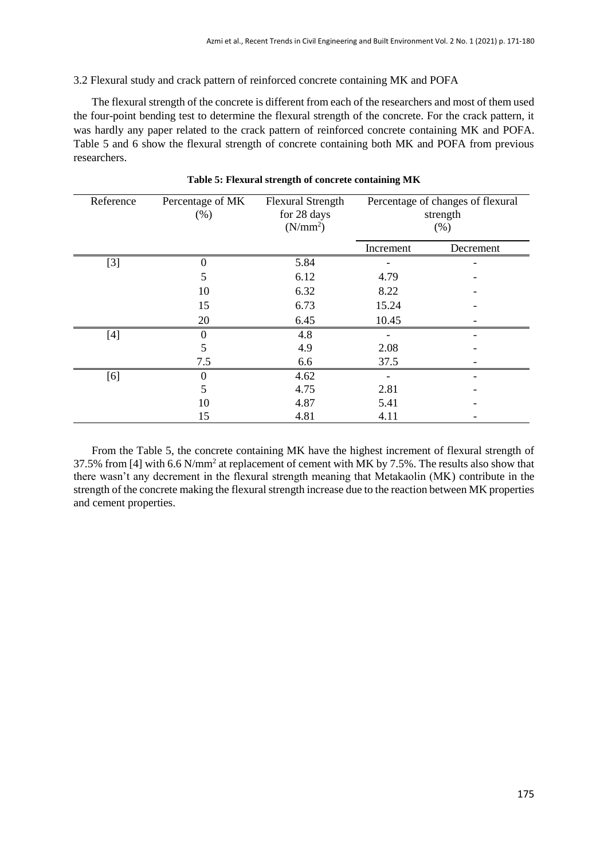# 3.2 Flexural study and crack pattern of reinforced concrete containing MK and POFA

The flexural strength of the concrete is different from each of the researchers and most of them used the four-point bending test to determine the flexural strength of the concrete. For the crack pattern, it was hardly any paper related to the crack pattern of reinforced concrete containing MK and POFA. Table 5 and 6 show the flexural strength of concrete containing both MK and POFA from previous researchers.

| Reference | Percentage of MK<br>(% ) | <b>Flexural Strength</b><br>for 28 days<br>(N/mm <sup>2</sup> ) |           | Percentage of changes of flexural<br>strength<br>(% ) |
|-----------|--------------------------|-----------------------------------------------------------------|-----------|-------------------------------------------------------|
|           |                          |                                                                 | Increment | Decrement                                             |
| $[3]$     | 0                        | 5.84                                                            |           |                                                       |
|           | 5                        | 6.12                                                            | 4.79      |                                                       |
|           | 10                       | 6.32                                                            | 8.22      |                                                       |
|           | 15                       | 6.73                                                            | 15.24     |                                                       |
|           | 20                       | 6.45                                                            | 10.45     |                                                       |
| $[4]$     | $\Omega$                 | 4.8                                                             |           |                                                       |
|           | 5                        | 4.9                                                             | 2.08      |                                                       |
|           | 7.5                      | 6.6                                                             | 37.5      |                                                       |
| [6]       |                          | 4.62                                                            |           |                                                       |
|           | 5                        | 4.75                                                            | 2.81      |                                                       |
|           | 10                       | 4.87                                                            | 5.41      |                                                       |
|           | 15                       | 4.81                                                            | 4.11      |                                                       |

# **Table 5: Flexural strength of concrete containing MK**

From the Table 5, the concrete containing MK have the highest increment of flexural strength of 37.5% from [4] with 6.6 N/mm<sup>2</sup> at replacement of cement with MK by 7.5%. The results also show that there wasn't any decrement in the flexural strength meaning that Metakaolin (MK) contribute in the strength of the concrete making the flexural strength increase due to the reaction between MK properties and cement properties.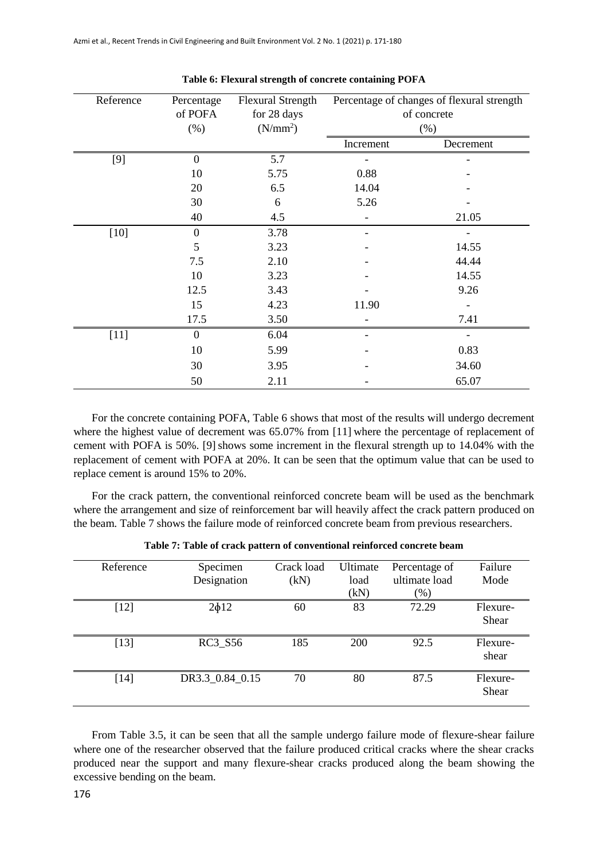| Reference | Percentage<br>of POFA<br>(% ) | <b>Flexural Strength</b><br>for 28 days<br>(N/mm <sup>2</sup> ) | Percentage of changes of flexural strength<br>of concrete<br>(% ) |           |
|-----------|-------------------------------|-----------------------------------------------------------------|-------------------------------------------------------------------|-----------|
|           |                               |                                                                 | Increment                                                         | Decrement |
| $[9]$     | $\overline{0}$                | 5.7                                                             |                                                                   |           |
|           | 10                            | 5.75                                                            | 0.88                                                              |           |
|           | 20                            | 6.5                                                             | 14.04                                                             |           |
|           | 30                            | 6                                                               | 5.26                                                              |           |
|           | 40                            | 4.5                                                             |                                                                   | 21.05     |
| $[10]$    | $\overline{0}$                | 3.78                                                            |                                                                   |           |
|           | 5                             | 3.23                                                            |                                                                   | 14.55     |
|           | 7.5                           | 2.10                                                            |                                                                   | 44.44     |
|           | 10                            | 3.23                                                            |                                                                   | 14.55     |
|           | 12.5                          | 3.43                                                            |                                                                   | 9.26      |
|           | 15                            | 4.23                                                            | 11.90                                                             |           |
|           | 17.5                          | 3.50                                                            |                                                                   | 7.41      |
| $[11]$    | $\overline{0}$                | 6.04                                                            |                                                                   |           |
|           | 10                            | 5.99                                                            |                                                                   | 0.83      |
|           | 30                            | 3.95                                                            |                                                                   | 34.60     |
|           | 50                            | 2.11                                                            |                                                                   | 65.07     |

#### **Table 6: Flexural strength of concrete containing POFA**

For the concrete containing POFA, Table 6 shows that most of the results will undergo decrement where the highest value of decrement was 65.07% from [11] where the percentage of replacement of cement with POFA is 50%. [9] shows some increment in the flexural strength up to 14.04% with the replacement of cement with POFA at 20%. It can be seen that the optimum value that can be used to replace cement is around 15% to 20%.

For the crack pattern, the conventional reinforced concrete beam will be used as the benchmark where the arrangement and size of reinforcement bar will heavily affect the crack pattern produced on the beam. Table 7 shows the failure mode of reinforced concrete beam from previous researchers.

| Reference | Specimen<br>Designation | Crack load<br>(kN) | Ultimate<br>load<br>(kN) | Percentage of<br>ultimate load<br>$(\%)$ | Failure<br>Mode          |
|-----------|-------------------------|--------------------|--------------------------|------------------------------------------|--------------------------|
| $[12]$    | $2\phi12$               | 60                 | 83                       | 72.29                                    | Flexure-<br><b>Shear</b> |
| $[13]$    | <b>RC3 S56</b>          | 185                | 200                      | 92.5                                     | Flexure-<br>shear        |
| [14]      | DR3.3_0.84_0.15         | 70                 | 80                       | 87.5                                     | Flexure-<br>Shear        |

**Table 7: Table of crack pattern of conventional reinforced concrete beam**

From Table 3.5, it can be seen that all the sample undergo failure mode of flexure-shear failure where one of the researcher observed that the failure produced critical cracks where the shear cracks produced near the support and many flexure-shear cracks produced along the beam showing the excessive bending on the beam.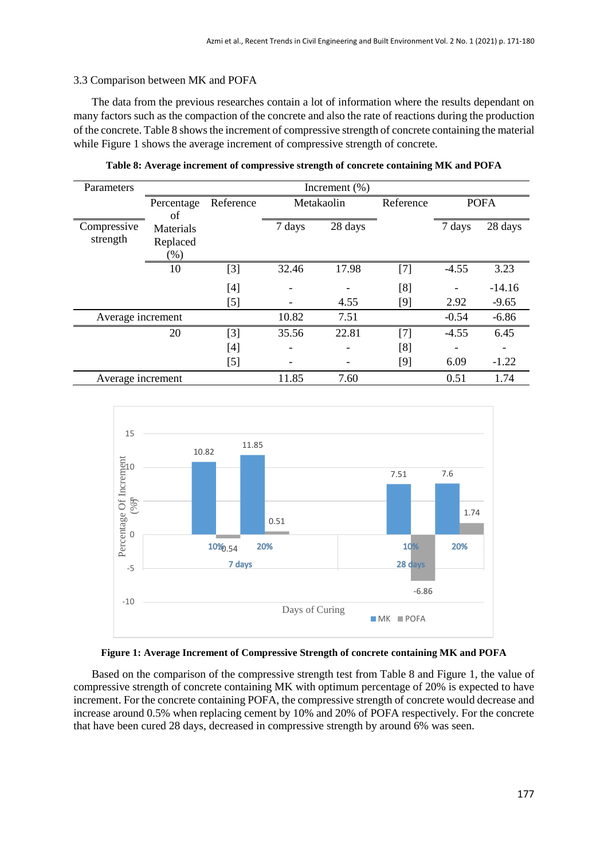## 3.3 Comparison between MK and POFA

The data from the previous researches contain a lot of information where the results dependant on many factors such as the compaction of the concrete and also the rate of reactions during the production of the concrete. Table 8 shows the increment of compressive strength of concrete containing the material while Figure 1 shows the average increment of compressive strength of concrete.

| Parameters              | Increment $(\% )$                |           |        |            |                                                                                                                                                                                                            |         |             |
|-------------------------|----------------------------------|-----------|--------|------------|------------------------------------------------------------------------------------------------------------------------------------------------------------------------------------------------------------|---------|-------------|
|                         | Percentage<br>οf                 | Reference |        | Metakaolin | Reference                                                                                                                                                                                                  |         | <b>POFA</b> |
| Compressive<br>strength | Materials<br>Replaced<br>$(\% )$ |           | 7 days | 28 days    |                                                                                                                                                                                                            | 7 days  | 28 days     |
|                         | 10                               | $[3]$     | 32.46  | 17.98      | $[7] % \includegraphics[width=0.9\columnwidth]{figures/fig_10.pdf} \caption{The 3D (black) model for the estimators in the left and right. The left and right is the same as in the right.} \label{fig:2}$ | $-4.55$ | 3.23        |
|                         |                                  | [4]       |        |            | [8]                                                                                                                                                                                                        |         | $-14.16$    |
|                         |                                  | [5]       |        | 4.55       | [9]                                                                                                                                                                                                        | 2.92    | $-9.65$     |
| Average increment       |                                  |           | 10.82  | 7.51       |                                                                                                                                                                                                            | $-0.54$ | $-6.86$     |
|                         | 20                               | $[3]$     | 35.56  | 22.81      | $[7]$                                                                                                                                                                                                      | $-4.55$ | 6.45        |
|                         |                                  |           |        |            | [8]                                                                                                                                                                                                        |         |             |
|                         |                                  | $[5]$     |        |            | [9]                                                                                                                                                                                                        | 6.09    | $-1.22$     |
| Average increment       |                                  |           | 11.85  | 7.60       |                                                                                                                                                                                                            | 0.51    | 1.74        |

**Table 8: Average increment of compressive strength of concrete containing MK and POFA**



#### **Figure 1: Average Increment of Compressive Strength of concrete containing MK and POFA**

Based on the comparison of the compressive strength test from Table 8 and Figure 1, the value of compressive strength of concrete containing MK with optimum percentage of 20% is expected to have increment. For the concrete containing POFA, the compressive strength of concrete would decrease and increase around 0.5% when replacing cement by 10% and 20% of POFA respectively. For the concrete that have been cured 28 days, decreased in compressive strength by around 6% was seen.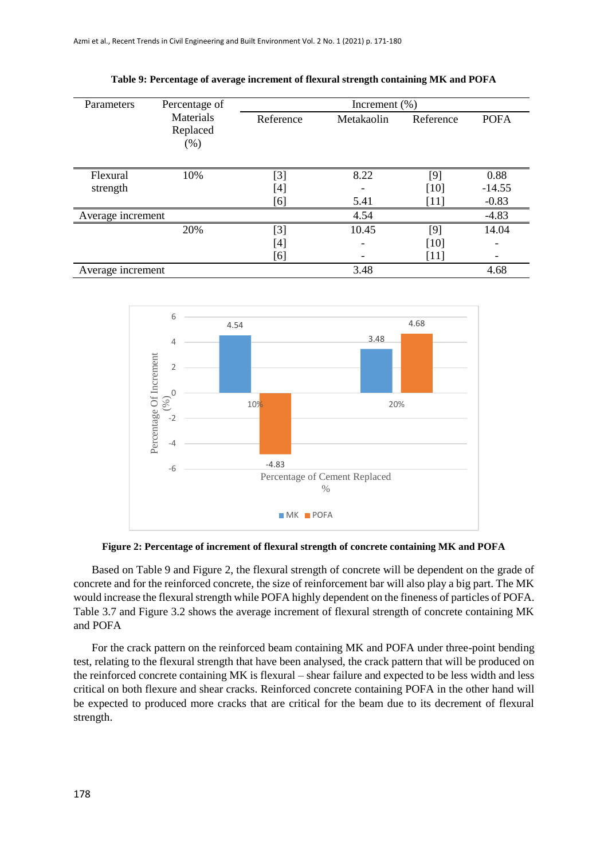| Parameters           | Percentage of                 |                     | Increment $(\% )$ |                           |                             |
|----------------------|-------------------------------|---------------------|-------------------|---------------------------|-----------------------------|
|                      | Materials<br>Replaced<br>(% ) | Reference           | Metakaolin        | Reference                 | <b>POFA</b>                 |
| Flexural<br>strength | 10%                           | $[3]$<br>[4]<br>[6] | 8.22<br>5.41      | [9]<br>[10]<br>[11]       | 0.88<br>$-14.55$<br>$-0.83$ |
| Average increment    |                               |                     | 4.54              |                           | $-4.83$                     |
|                      | 20%                           | [3]<br>[4]<br>[6]   | 10.45             | $[9]$<br>$[10]$<br>$[11]$ | 14.04                       |
| Average increment    |                               |                     | 3.48              |                           | 4.68                        |

**Table 9: Percentage of average increment of flexural strength containing MK and POFA**



**Figure 2: Percentage of increment of flexural strength of concrete containing MK and POFA**

Based on Table 9 and Figure 2, the flexural strength of concrete will be dependent on the grade of concrete and for the reinforced concrete, the size of reinforcement bar will also play a big part. The MK would increase the flexural strength while POFA highly dependent on the fineness of particles of POFA. Table 3.7 and Figure 3.2 shows the average increment of flexural strength of concrete containing MK and POFA

For the crack pattern on the reinforced beam containing MK and POFA under three-point bending test, relating to the flexural strength that have been analysed, the crack pattern that will be produced on the reinforced concrete containing MK is flexural – shear failure and expected to be less width and less critical on both flexure and shear cracks. Reinforced concrete containing POFA in the other hand will be expected to produced more cracks that are critical for the beam due to its decrement of flexural strength.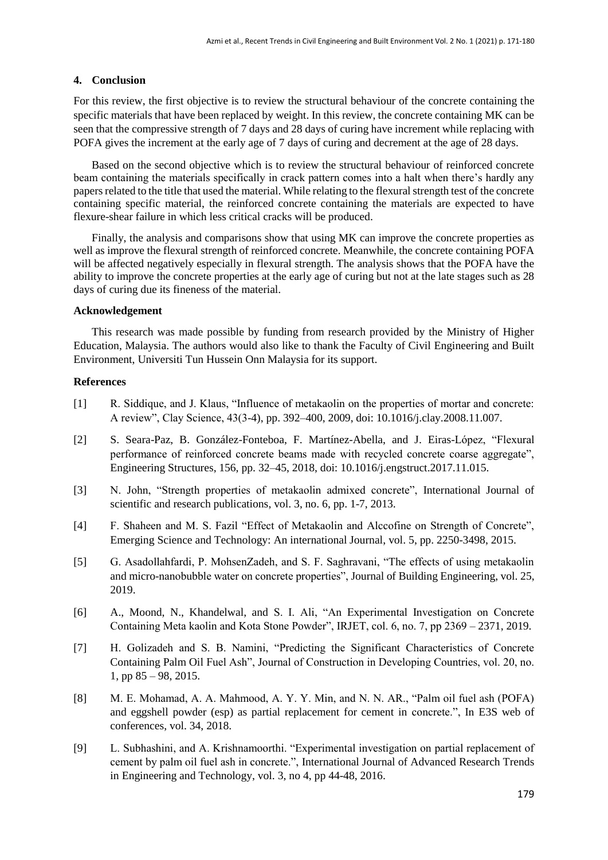# **4. Conclusion**

For this review, the first objective is to review the structural behaviour of the concrete containing the specific materials that have been replaced by weight. In this review, the concrete containing MK can be seen that the compressive strength of 7 days and 28 days of curing have increment while replacing with POFA gives the increment at the early age of 7 days of curing and decrement at the age of 28 days.

Based on the second objective which is to review the structural behaviour of reinforced concrete beam containing the materials specifically in crack pattern comes into a halt when there's hardly any papers related to the title that used the material. While relating to the flexural strength test of the concrete containing specific material, the reinforced concrete containing the materials are expected to have flexure-shear failure in which less critical cracks will be produced.

Finally, the analysis and comparisons show that using MK can improve the concrete properties as well as improve the flexural strength of reinforced concrete. Meanwhile, the concrete containing POFA will be affected negatively especially in flexural strength. The analysis shows that the POFA have the ability to improve the concrete properties at the early age of curing but not at the late stages such as 28 days of curing due its fineness of the material.

## **Acknowledgement**

This research was made possible by funding from research provided by the Ministry of Higher Education, Malaysia. The authors would also like to thank the Faculty of Civil Engineering and Built Environment, Universiti Tun Hussein Onn Malaysia for its support.

# **References**

- [1] R. Siddique, and J. Klaus, "Influence of metakaolin on the properties of mortar and concrete: A review", Clay Science, 43(3-4), pp. 392–400, 2009, doi: 10.1016/j.clay.2008.11.007.
- [2] S. Seara-Paz, B. González-Fonteboa, F. Martínez-Abella, and J. Eiras-López, "Flexural performance of reinforced concrete beams made with recycled concrete coarse aggregate", Engineering Structures, 156, pp. 32–45, 2018, doi: 10.1016/j.engstruct.2017.11.015.
- [3] N. John, "Strength properties of metakaolin admixed concrete", International Journal of scientific and research publications, vol. 3, no. 6, pp. 1-7, 2013.
- [4] F. Shaheen and M. S. Fazil "Effect of Metakaolin and Alccofine on Strength of Concrete", Emerging Science and Technology: An international Journal, vol. 5, pp. 2250-3498, 2015.
- [5] G. Asadollahfardi, P. MohsenZadeh, and S. F. Saghravani, "The effects of using metakaolin and micro-nanobubble water on concrete properties", Journal of Building Engineering, vol. 25, 2019.
- [6] A., Moond, N., Khandelwal, and S. I. Ali, "An Experimental Investigation on Concrete Containing Meta kaolin and Kota Stone Powder", IRJET, col. 6, no. 7, pp 2369 – 2371, 2019.
- [7] H. Golizadeh and S. B. Namini, "Predicting the Significant Characteristics of Concrete Containing Palm Oil Fuel Ash", Journal of Construction in Developing Countries, vol. 20, no. 1, pp 85 – 98, 2015.
- [8] M. E. Mohamad, A. A. Mahmood, A. Y. Y. Min, and N. N. AR., "Palm oil fuel ash (POFA) and eggshell powder (esp) as partial replacement for cement in concrete.", In E3S web of conferences, vol. 34, 2018.
- [9] L. Subhashini, and A. Krishnamoorthi. "Experimental investigation on partial replacement of cement by palm oil fuel ash in concrete.", International Journal of Advanced Research Trends in Engineering and Technology, vol. 3, no 4, pp 44-48, 2016.